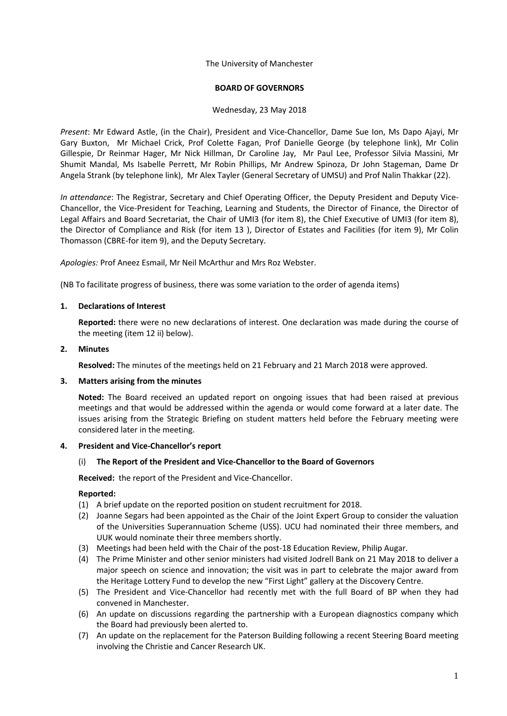The University of Manchester

### **BOARD OF GOVERNORS**

#### Wednesday, 23 May 2018

*Present*: Mr Edward Astle, (in the Chair), President and Vice-Chancellor, Dame Sue Ion, Ms Dapo Ajayi, Mr Gary Buxton, Mr Michael Crick, Prof Colette Fagan, Prof Danielle George (by telephone link), Mr Colin Gillespie, Dr Reinmar Hager, Mr Nick Hillman, Dr Caroline Jay, Mr Paul Lee, Professor Silvia Massini, Mr Shumit Mandal, Ms Isabelle Perrett, Mr Robin Phillips, Mr Andrew Spinoza, Dr John Stageman, Dame Dr Angela Strank (by telephone link), Mr Alex Tayler (General Secretary of UMSU) and Prof Nalin Thakkar (22).

*In attendance*: The Registrar, Secretary and Chief Operating Officer, the Deputy President and Deputy Vice-Chancellor, the Vice-President for Teaching, Learning and Students, the Director of Finance, the Director of Legal Affairs and Board Secretariat, the Chair of UMI3 (for item 8), the Chief Executive of UMI3 (for item 8), the Director of Compliance and Risk (for item 13 ), Director of Estates and Facilities (for item 9), Mr Colin Thomasson (CBRE-for item 9), and the Deputy Secretary.

*Apologies:* Prof Aneez Esmail, Mr Neil McArthur and Mrs Roz Webster.

(NB To facilitate progress of business, there was some variation to the order of agenda items)

### **1. Declarations of Interest**

**Reported:** there were no new declarations of interest. One declaration was made during the course of the meeting (item 12 ii) below).

### **2. Minutes**

**Resolved:** The minutes of the meetings held on 21 February and 21 March 2018 were approved.

## **3. Matters arising from the minutes**

**Noted:** The Board received an updated report on ongoing issues that had been raised at previous meetings and that would be addressed within the agenda or would come forward at a later date. The issues arising from the Strategic Briefing on student matters held before the February meeting were considered later in the meeting.

#### **4. President and Vice-Chancellor's report**

#### (i) **The Report of the President and Vice-Chancellor to the Board of Governors**

**Received:** the report of the President and Vice-Chancellor.

## **Reported:**

- (1) A brief update on the reported position on student recruitment for 2018.
- (2) Joanne Segars had been appointed as the Chair of the Joint Expert Group to consider the valuation of the Universities Superannuation Scheme (USS). UCU had nominated their three members, and UUK would nominate their three members shortly.
- (3) Meetings had been held with the Chair of the post-18 Education Review, Philip Augar.
- (4) The Prime Minister and other senior ministers had visited Jodrell Bank on 21 May 2018 to deliver a major speech on science and innovation; the visit was in part to celebrate the major award from the Heritage Lottery Fund to develop the new "First Light" gallery at the Discovery Centre.
- (5) The President and Vice-Chancellor had recently met with the full Board of BP when they had convened in Manchester.
- (6) An update on discussions regarding the partnership with a European diagnostics company which the Board had previously been alerted to.
- (7) An update on the replacement for the Paterson Building following a recent Steering Board meeting involving the Christie and Cancer Research UK.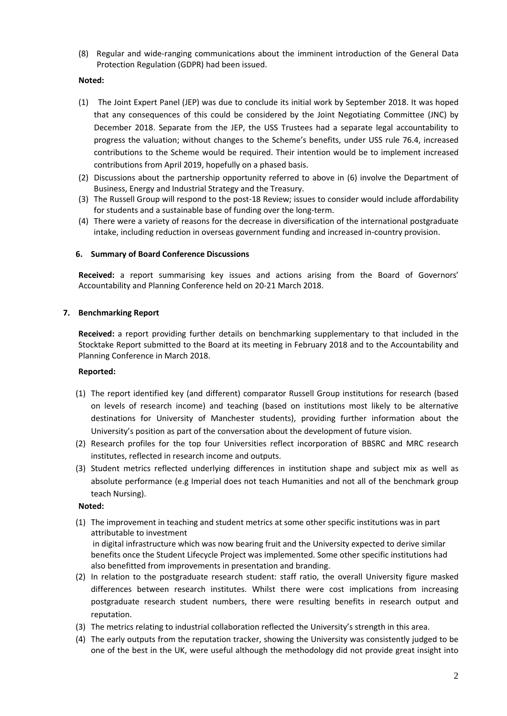(8) Regular and wide-ranging communications about the imminent introduction of the General Data Protection Regulation (GDPR) had been issued.

## **Noted:**

- (1) The Joint Expert Panel (JEP) was due to conclude its initial work by September 2018. It was hoped that any consequences of this could be considered by the Joint Negotiating Committee (JNC) by December 2018. Separate from the JEP, the USS Trustees had a separate legal accountability to progress the valuation; without changes to the Scheme's benefits, under USS rule 76.4, increased contributions to the Scheme would be required. Their intention would be to implement increased contributions from April 2019, hopefully on a phased basis.
- (2) Discussions about the partnership opportunity referred to above in (6) involve the Department of Business, Energy and Industrial Strategy and the Treasury.
- (3) The Russell Group will respond to the post-18 Review; issues to consider would include affordability for students and a sustainable base of funding over the long-term.
- (4) There were a variety of reasons for the decrease in diversification of the international postgraduate intake, including reduction in overseas government funding and increased in-country provision.

# **6. Summary of Board Conference Discussions**

**Received:** a report summarising key issues and actions arising from the Board of Governors' Accountability and Planning Conference held on 20-21 March 2018.

## **7. Benchmarking Report**

**Received:** a report providing further details on benchmarking supplementary to that included in the Stocktake Report submitted to the Board at its meeting in February 2018 and to the Accountability and Planning Conference in March 2018.

## **Reported:**

- (1) The report identified key (and different) comparator Russell Group institutions for research (based on levels of research income) and teaching (based on institutions most likely to be alternative destinations for University of Manchester students), providing further information about the University's position as part of the conversation about the development of future vision.
- (2) Research profiles for the top four Universities reflect incorporation of BBSRC and MRC research institutes, reflected in research income and outputs.
- (3) Student metrics reflected underlying differences in institution shape and subject mix as well as absolute performance (e.g Imperial does not teach Humanities and not all of the benchmark group teach Nursing).

## **Noted:**

(1) The improvement in teaching and student metrics at some other specific institutions was in part attributable to investment in digital infrastructure which was now bearing fruit and the University expected to derive similar

benefits once the Student Lifecycle Project was implemented. Some other specific institutions had also benefitted from improvements in presentation and branding.

- (2) In relation to the postgraduate research student: staff ratio, the overall University figure masked differences between research institutes. Whilst there were cost implications from increasing postgraduate research student numbers, there were resulting benefits in research output and reputation.
- (3) The metrics relating to industrial collaboration reflected the University's strength in this area.
- (4) The early outputs from the reputation tracker, showing the University was consistently judged to be one of the best in the UK, were useful although the methodology did not provide great insight into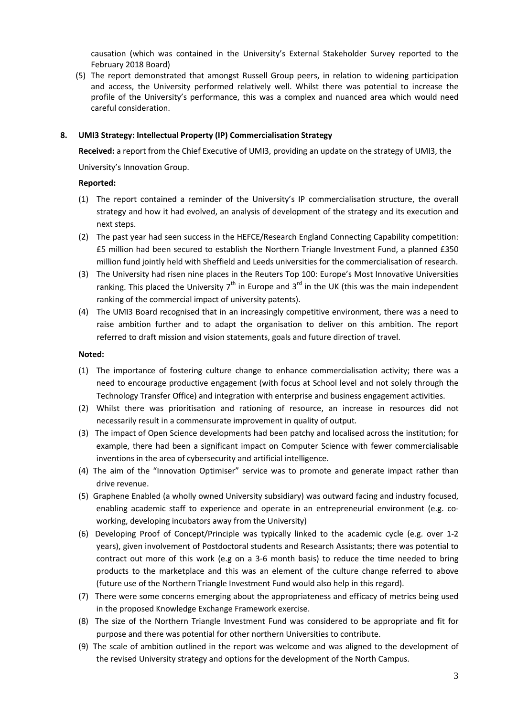causation (which was contained in the University's External Stakeholder Survey reported to the February 2018 Board)

(5) The report demonstrated that amongst Russell Group peers, in relation to widening participation and access, the University performed relatively well. Whilst there was potential to increase the profile of the University's performance, this was a complex and nuanced area which would need careful consideration.

### **8. UMI3 Strategy: Intellectual Property (IP) Commercialisation Strategy**

**Received:** a report from the Chief Executive of UMI3, providing an update on the strategy of UMI3, the

University's Innovation Group.

### **Reported:**

- (1) The report contained a reminder of the University's IP commercialisation structure, the overall strategy and how it had evolved, an analysis of development of the strategy and its execution and next steps.
- (2) The past year had seen success in the HEFCE/Research England Connecting Capability competition: £5 million had been secured to establish the Northern Triangle Investment Fund, a planned £350 million fund jointly held with Sheffield and Leeds universities for the commercialisation of research.
- (3) The University had risen nine places in the Reuters Top 100: Europe's Most Innovative Universities ranking. This placed the University  $7<sup>th</sup>$  in Europe and  $3<sup>rd</sup>$  in the UK (this was the main independent ranking of the commercial impact of university patents).
- (4) The UMI3 Board recognised that in an increasingly competitive environment, there was a need to raise ambition further and to adapt the organisation to deliver on this ambition. The report referred to draft mission and vision statements, goals and future direction of travel.

#### **Noted:**

- (1) The importance of fostering culture change to enhance commercialisation activity; there was a need to encourage productive engagement (with focus at School level and not solely through the Technology Transfer Office) and integration with enterprise and business engagement activities.
- (2) Whilst there was prioritisation and rationing of resource, an increase in resources did not necessarily result in a commensurate improvement in quality of output.
- (3) The impact of Open Science developments had been patchy and localised across the institution; for example, there had been a significant impact on Computer Science with fewer commercialisable inventions in the area of cybersecurity and artificial intelligence.
- (4) The aim of the "Innovation Optimiser" service was to promote and generate impact rather than drive revenue.
- (5) Graphene Enabled (a wholly owned University subsidiary) was outward facing and industry focused, enabling academic staff to experience and operate in an entrepreneurial environment (e.g. coworking, developing incubators away from the University)
- (6) Developing Proof of Concept/Principle was typically linked to the academic cycle (e.g. over 1-2 years), given involvement of Postdoctoral students and Research Assistants; there was potential to contract out more of this work (e.g on a 3-6 month basis) to reduce the time needed to bring products to the marketplace and this was an element of the culture change referred to above (future use of the Northern Triangle Investment Fund would also help in this regard).
- (7) There were some concerns emerging about the appropriateness and efficacy of metrics being used in the proposed Knowledge Exchange Framework exercise.
- (8) The size of the Northern Triangle Investment Fund was considered to be appropriate and fit for purpose and there was potential for other northern Universities to contribute.
- (9) The scale of ambition outlined in the report was welcome and was aligned to the development of the revised University strategy and options for the development of the North Campus.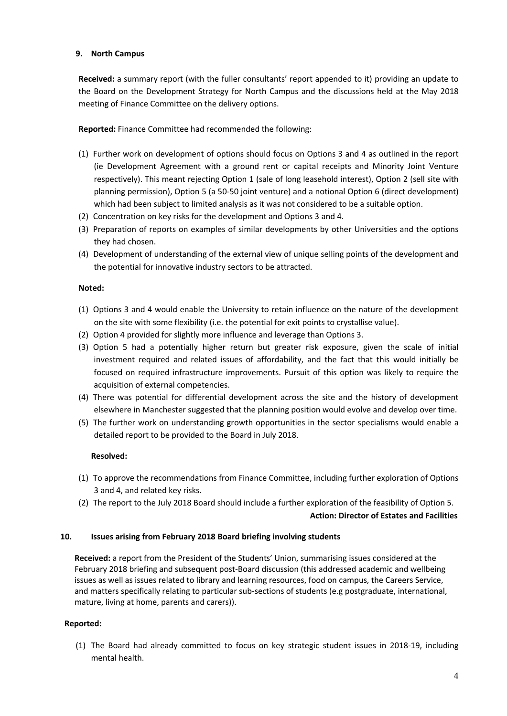## **9. North Campus**

**Received:** a summary report (with the fuller consultants' report appended to it) providing an update to the Board on the Development Strategy for North Campus and the discussions held at the May 2018 meeting of Finance Committee on the delivery options.

**Reported:** Finance Committee had recommended the following:

- (1) Further work on development of options should focus on Options 3 and 4 as outlined in the report (ie Development Agreement with a ground rent or capital receipts and Minority Joint Venture respectively). This meant rejecting Option 1 (sale of long leasehold interest), Option 2 (sell site with planning permission), Option 5 (a 50-50 joint venture) and a notional Option 6 (direct development) which had been subject to limited analysis as it was not considered to be a suitable option.
- (2) Concentration on key risks for the development and Options 3 and 4.
- (3) Preparation of reports on examples of similar developments by other Universities and the options they had chosen.
- (4) Development of understanding of the external view of unique selling points of the development and the potential for innovative industry sectors to be attracted.

## **Noted:**

- (1) Options 3 and 4 would enable the University to retain influence on the nature of the development on the site with some flexibility (i.e. the potential for exit points to crystallise value).
- (2) Option 4 provided for slightly more influence and leverage than Options 3.
- (3) Option 5 had a potentially higher return but greater risk exposure, given the scale of initial investment required and related issues of affordability, and the fact that this would initially be focused on required infrastructure improvements. Pursuit of this option was likely to require the acquisition of external competencies.
- (4) There was potential for differential development across the site and the history of development elsewhere in Manchester suggested that the planning position would evolve and develop over time.
- (5) The further work on understanding growth opportunities in the sector specialisms would enable a detailed report to be provided to the Board in July 2018.

## **Resolved:**

- (1) To approve the recommendations from Finance Committee, including further exploration of Options 3 and 4, and related key risks.
- (2) The report to the July 2018 Board should include a further exploration of the feasibility of Option 5.

## **Action: Director of Estates and Facilities**

## **10. Issues arising from February 2018 Board briefing involving students**

 **Received:** a report from the President of the Students' Union, summarising issues considered at the February 2018 briefing and subsequent post-Board discussion (this addressed academic and wellbeing issues as well as issues related to library and learning resources, food on campus, the Careers Service, and matters specifically relating to particular sub-sections of students (e.g postgraduate, international, mature, living at home, parents and carers)).

## **Reported:**

(1) The Board had already committed to focus on key strategic student issues in 2018-19, including mental health.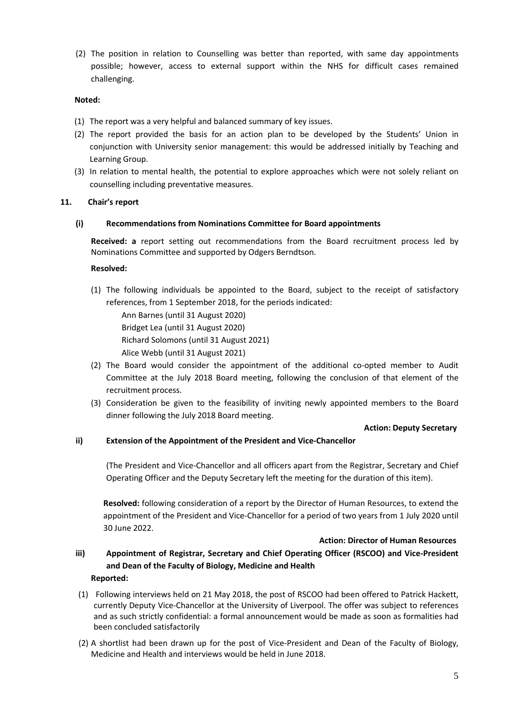(2) The position in relation to Counselling was better than reported, with same day appointments possible; however, access to external support within the NHS for difficult cases remained challenging.

### **Noted:**

- (1) The report was a very helpful and balanced summary of key issues.
- (2) The report provided the basis for an action plan to be developed by the Students' Union in conjunction with University senior management: this would be addressed initially by Teaching and Learning Group.
- (3) In relation to mental health, the potential to explore approaches which were not solely reliant on counselling including preventative measures.

### **11. Chair's report**

#### **(i) Recommendations from Nominations Committee for Board appointments**

**Received: a** report setting out recommendations from the Board recruitment process led by Nominations Committee and supported by Odgers Berndtson.

#### **Resolved:**

(1) The following individuals be appointed to the Board, subject to the receipt of satisfactory references, from 1 September 2018, for the periods indicated:

Ann Barnes (until 31 August 2020) Bridget Lea (until 31 August 2020) Richard Solomons (until 31 August 2021) Alice Webb (until 31 August 2021)

- (2) The Board would consider the appointment of the additional co-opted member to Audit Committee at the July 2018 Board meeting, following the conclusion of that element of the recruitment process.
- (3) Consideration be given to the feasibility of inviting newly appointed members to the Board dinner following the July 2018 Board meeting.

#### **Action: Deputy Secretary**

## **ii) Extension of the Appointment of the President and Vice-Chancellor**

(The President and Vice-Chancellor and all officers apart from the Registrar, Secretary and Chief Operating Officer and the Deputy Secretary left the meeting for the duration of this item).

**Resolved:** following consideration of a report by the Director of Human Resources, to extend the appointment of the President and Vice-Chancellor for a period of two years from 1 July 2020 until 30 June 2022.

#### **Action: Director of Human Resources**

**iii) Appointment of Registrar, Secretary and Chief Operating Officer (RSCOO) and Vice-President and Dean of the Faculty of Biology, Medicine and Health** 

#### **Reported:**

- (1) Following interviews held on 21 May 2018, the post of RSCOO had been offered to Patrick Hackett, currently Deputy Vice-Chancellor at the University of Liverpool. The offer was subject to references and as such strictly confidential: a formal announcement would be made as soon as formalities had been concluded satisfactorily
- (2) A shortlist had been drawn up for the post of Vice-President and Dean of the Faculty of Biology, Medicine and Health and interviews would be held in June 2018.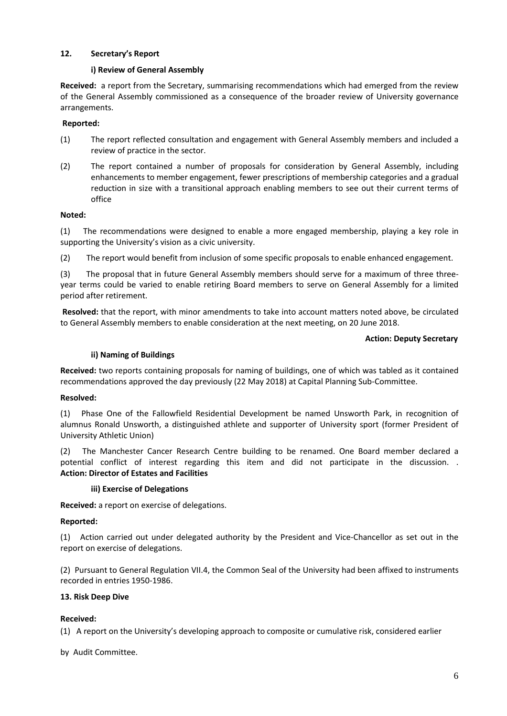## **12. Secretary's Report**

### **i) Review of General Assembly**

**Received:** a report from the Secretary, summarising recommendations which had emerged from the review of the General Assembly commissioned as a consequence of the broader review of University governance arrangements.

## **Reported:**

- (1) The report reflected consultation and engagement with General Assembly members and included a review of practice in the sector.
- (2) The report contained a number of proposals for consideration by General Assembly, including enhancements to member engagement, fewer prescriptions of membership categories and a gradual reduction in size with a transitional approach enabling members to see out their current terms of office

#### **Noted:**

(1) The recommendations were designed to enable a more engaged membership, playing a key role in supporting the University's vision as a civic university.

(2) The report would benefit from inclusion of some specific proposals to enable enhanced engagement.

(3) The proposal that in future General Assembly members should serve for a maximum of three threeyear terms could be varied to enable retiring Board members to serve on General Assembly for a limited period after retirement.

**Resolved:** that the report, with minor amendments to take into account matters noted above, be circulated to General Assembly members to enable consideration at the next meeting, on 20 June 2018.

### **Action: Deputy Secretary**

### **ii) Naming of Buildings**

**Received:** two reports containing proposals for naming of buildings, one of which was tabled as it contained recommendations approved the day previously (22 May 2018) at Capital Planning Sub-Committee.

## **Resolved:**

(1) Phase One of the Fallowfield Residential Development be named Unsworth Park, in recognition of alumnus Ronald Unsworth, a distinguished athlete and supporter of University sport (former President of University Athletic Union)

(2) The Manchester Cancer Research Centre building to be renamed. One Board member declared a potential conflict of interest regarding this item and did not participate in the discussion. . **Action: Director of Estates and Facilities**

#### **iii) Exercise of Delegations**

**Received:** a report on exercise of delegations.

#### **Reported:**

(1) Action carried out under delegated authority by the President and Vice-Chancellor as set out in the report on exercise of delegations.

(2) Pursuant to General Regulation VII.4, the Common Seal of the University had been affixed to instruments recorded in entries 1950-1986.

## **13. Risk Deep Dive**

## **Received:**

(1) A report on the University's developing approach to composite or cumulative risk, considered earlier

by Audit Committee.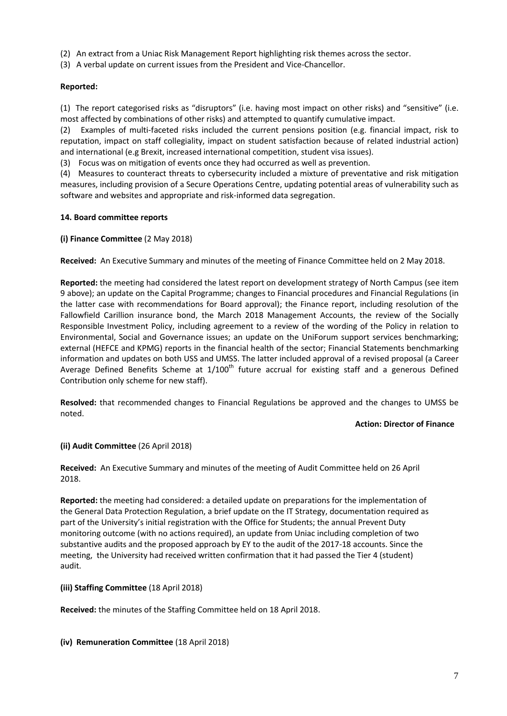- (2) An extract from a Uniac Risk Management Report highlighting risk themes across the sector.
- (3) A verbal update on current issues from the President and Vice-Chancellor.

# **Reported:**

(1) The report categorised risks as "disruptors" (i.e. having most impact on other risks) and "sensitive" (i.e. most affected by combinations of other risks) and attempted to quantify cumulative impact.

(2) Examples of multi-faceted risks included the current pensions position (e.g. financial impact, risk to reputation, impact on staff collegiality, impact on student satisfaction because of related industrial action) and international (e.g Brexit, increased international competition, student visa issues).

(3) Focus was on mitigation of events once they had occurred as well as prevention.

(4) Measures to counteract threats to cybersecurity included a mixture of preventative and risk mitigation measures, including provision of a Secure Operations Centre, updating potential areas of vulnerability such as software and websites and appropriate and risk-informed data segregation.

## **14. Board committee reports**

## **(i) Finance Committee** (2 May 2018)

**Received:** An Executive Summary and minutes of the meeting of Finance Committee held on 2 May 2018.

**Reported:** the meeting had considered the latest report on development strategy of North Campus (see item 9 above); an update on the Capital Programme; changes to Financial procedures and Financial Regulations (in the latter case with recommendations for Board approval); the Finance report, including resolution of the Fallowfield Carillion insurance bond, the March 2018 Management Accounts, the review of the Socially Responsible Investment Policy, including agreement to a review of the wording of the Policy in relation to Environmental, Social and Governance issues; an update on the UniForum support services benchmarking; external (HEFCE and KPMG) reports in the financial health of the sector; Financial Statements benchmarking information and updates on both USS and UMSS. The latter included approval of a revised proposal (a Career Average Defined Benefits Scheme at  $1/100<sup>th</sup>$  future accrual for existing staff and a generous Defined Contribution only scheme for new staff).

**Resolved:** that recommended changes to Financial Regulations be approved and the changes to UMSS be noted.

#### **Action: Director of Finance**

## **(ii) Audit Committee** (26 April 2018)

**Received:** An Executive Summary and minutes of the meeting of Audit Committee held on 26 April 2018.

**Reported:** the meeting had considered: a detailed update on preparations for the implementation of the General Data Protection Regulation, a brief update on the IT Strategy, documentation required as part of the University's initial registration with the Office for Students; the annual Prevent Duty monitoring outcome (with no actions required), an update from Uniac including completion of two substantive audits and the proposed approach by EY to the audit of the 2017-18 accounts. Since the meeting, the University had received written confirmation that it had passed the Tier 4 (student) audit.

## **(iii) Staffing Committee** (18 April 2018)

**Received:** the minutes of the Staffing Committee held on 18 April 2018.

**(iv) Remuneration Committee** (18 April 2018)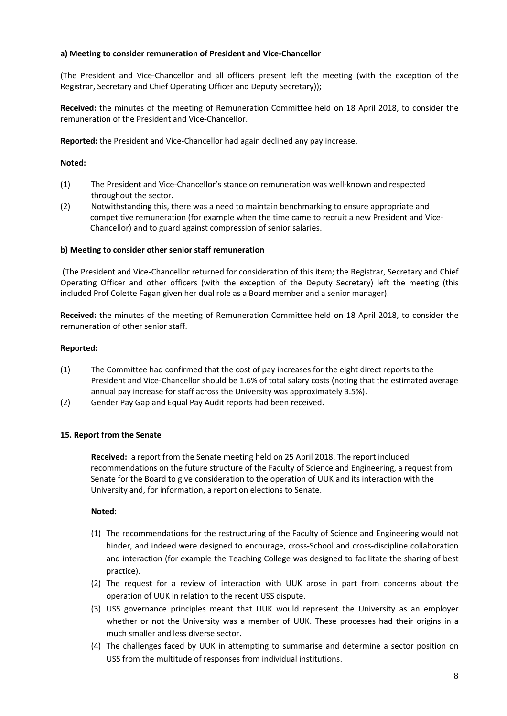## **a) Meeting to consider remuneration of President and Vice-Chancellor**

(The President and Vice-Chancellor and all officers present left the meeting (with the exception of the Registrar, Secretary and Chief Operating Officer and Deputy Secretary));

**Received:** the minutes of the meeting of Remuneration Committee held on 18 April 2018, to consider the remuneration of the President and Vice**-**Chancellor.

**Reported:** the President and Vice-Chancellor had again declined any pay increase.

## **Noted:**

- (1) The President and Vice-Chancellor's stance on remuneration was well-known and respected throughout the sector.
- (2) Notwithstanding this, there was a need to maintain benchmarking to ensure appropriate and competitive remuneration (for example when the time came to recruit a new President and Vice-Chancellor) and to guard against compression of senior salaries.

### **b) Meeting to consider other senior staff remuneration**

(The President and Vice-Chancellor returned for consideration of this item; the Registrar, Secretary and Chief Operating Officer and other officers (with the exception of the Deputy Secretary) left the meeting (this included Prof Colette Fagan given her dual role as a Board member and a senior manager).

**Received:** the minutes of the meeting of Remuneration Committee held on 18 April 2018, to consider the remuneration of other senior staff.

#### **Reported:**

- (1) The Committee had confirmed that the cost of pay increases for the eight direct reports to the President and Vice-Chancellor should be 1.6% of total salary costs (noting that the estimated average annual pay increase for staff across the University was approximately 3.5%).
- (2) Gender Pay Gap and Equal Pay Audit reports had been received.

#### **15. Report from the Senate**

**Received:** a report from the Senate meeting held on 25 April 2018. The report included recommendations on the future structure of the Faculty of Science and Engineering, a request from Senate for the Board to give consideration to the operation of UUK and its interaction with the University and, for information, a report on elections to Senate.

#### **Noted:**

- (1) The recommendations for the restructuring of the Faculty of Science and Engineering would not hinder, and indeed were designed to encourage, cross-School and cross-discipline collaboration and interaction (for example the Teaching College was designed to facilitate the sharing of best practice).
- (2) The request for a review of interaction with UUK arose in part from concerns about the operation of UUK in relation to the recent USS dispute.
- (3) USS governance principles meant that UUK would represent the University as an employer whether or not the University was a member of UUK. These processes had their origins in a much smaller and less diverse sector.
- (4) The challenges faced by UUK in attempting to summarise and determine a sector position on USS from the multitude of responses from individual institutions.